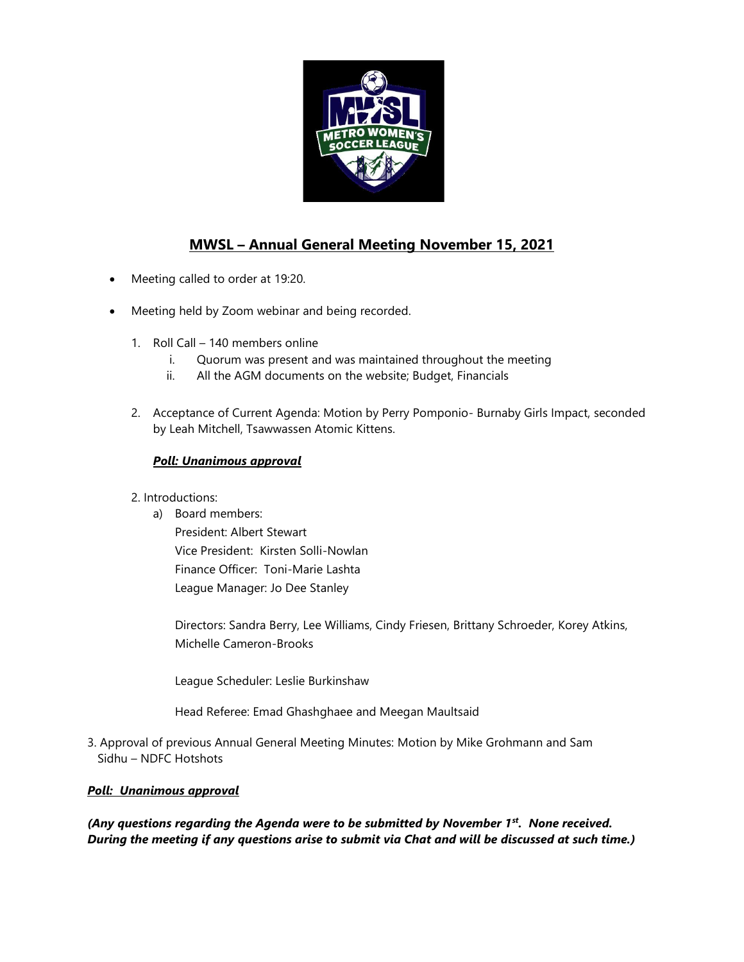

# **MWSL – Annual General Meeting November 15, 2021**

- Meeting called to order at 19:20.
- Meeting held by Zoom webinar and being recorded.
	- 1. Roll Call 140 members online
		- i. Quorum was present and was maintained throughout the meeting
		- ii. All the AGM documents on the website; Budget, Financials
	- 2. Acceptance of Current Agenda: Motion by Perry Pomponio- Burnaby Girls Impact, seconded by Leah Mitchell, Tsawwassen Atomic Kittens.

# *Poll: Unanimous approval*

- 2. Introductions:
	- a) Board members: President: Albert Stewart Vice President: Kirsten Solli-Nowlan Finance Officer: Toni-Marie Lashta League Manager: Jo Dee Stanley

Directors: Sandra Berry, Lee Williams, Cindy Friesen, Brittany Schroeder, Korey Atkins, Michelle Cameron-Brooks

League Scheduler: Leslie Burkinshaw

Head Referee: Emad Ghashghaee and Meegan Maultsaid

3. Approval of previous Annual General Meeting Minutes: Motion by Mike Grohmann and Sam Sidhu – NDFC Hotshots

# *Poll: Unanimous approval*

*(Any questions regarding the Agenda were to be submitted by November 1st. None received. During the meeting if any questions arise to submit via Chat and will be discussed at such time.)*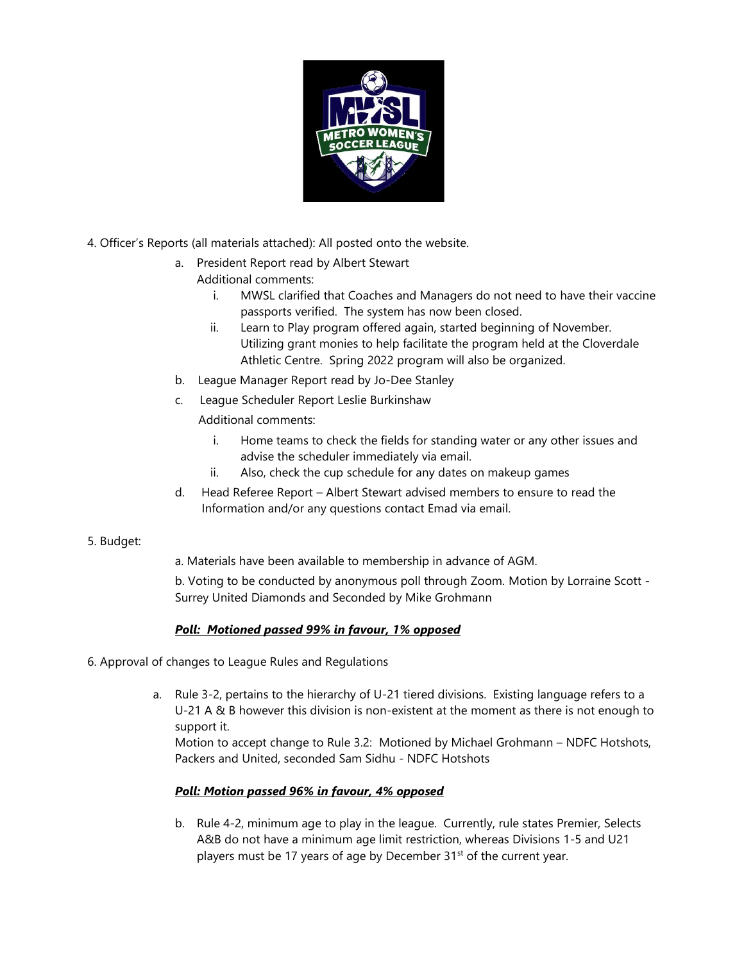

- 4. Officer's Reports (all materials attached): All posted onto the website.
	- a. President Report read by Albert Stewart
		- Additional comments:
			- i. MWSL clarified that Coaches and Managers do not need to have their vaccine passports verified. The system has now been closed.
			- ii. Learn to Play program offered again, started beginning of November. Utilizing grant monies to help facilitate the program held at the Cloverdale Athletic Centre. Spring 2022 program will also be organized.
	- b. League Manager Report read by Jo-Dee Stanley
	- c. League Scheduler Report Leslie Burkinshaw
		- Additional comments:
			- i. Home teams to check the fields for standing water or any other issues and advise the scheduler immediately via email.
			- ii. Also, check the cup schedule for any dates on makeup games
	- d. Head Referee Report Albert Stewart advised members to ensure to read the Information and/or any questions contact Emad via email.

# 5. Budget:

a. Materials have been available to membership in advance of AGM.

b. Voting to be conducted by anonymous poll through Zoom. Motion by Lorraine Scott - Surrey United Diamonds and Seconded by Mike Grohmann

# *Poll: Motioned passed 99% in favour, 1% opposed*

- 6. Approval of changes to League Rules and Regulations
	- a. Rule 3-2, pertains to the hierarchy of U-21 tiered divisions. Existing language refers to a U-21 A & B however this division is non-existent at the moment as there is not enough to support it.

Motion to accept change to Rule 3.2: Motioned by Michael Grohmann – NDFC Hotshots, Packers and United, seconded Sam Sidhu - NDFC Hotshots

# *Poll: Motion passed 96% in favour, 4% opposed*

b. Rule 4-2, minimum age to play in the league. Currently, rule states Premier, Selects A&B do not have a minimum age limit restriction, whereas Divisions 1-5 and U21 players must be 17 years of age by December 31<sup>st</sup> of the current year.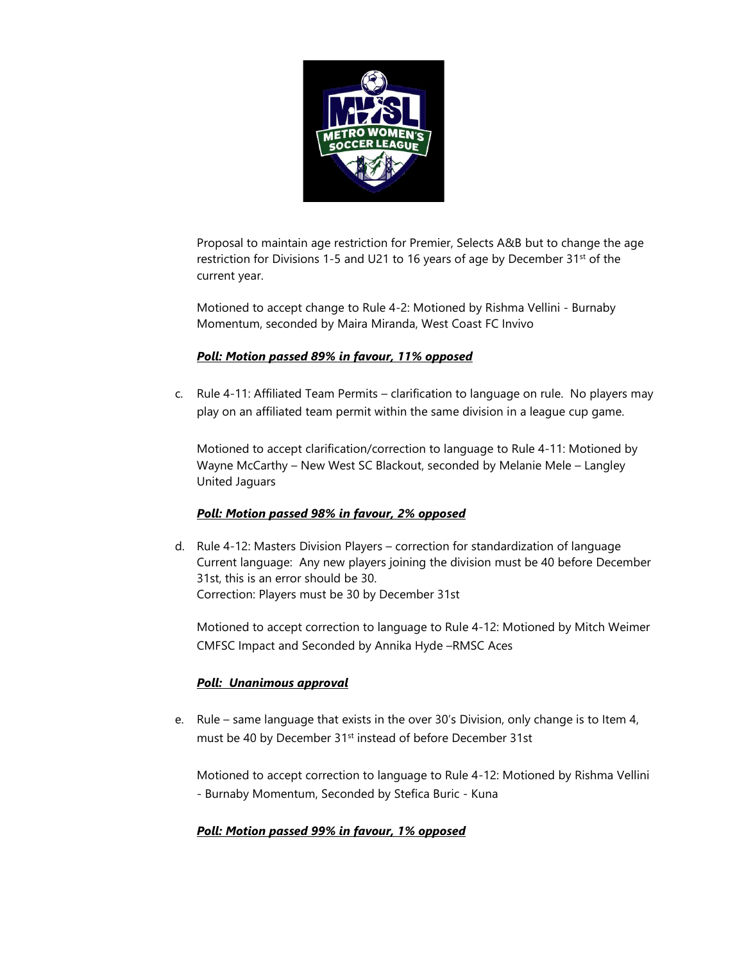

Proposal to maintain age restriction for Premier, Selects A&B but to change the age restriction for Divisions 1-5 and U21 to 16 years of age by December 31<sup>st</sup> of the current year.

Motioned to accept change to Rule 4-2: Motioned by Rishma Vellini - Burnaby Momentum, seconded by Maira Miranda, West Coast FC Invivo

# *Poll: Motion passed 89% in favour, 11% opposed*

c. Rule 4-11: Affiliated Team Permits – clarification to language on rule. No players may play on an affiliated team permit within the same division in a league cup game.

Motioned to accept clarification/correction to language to Rule 4-11: Motioned by Wayne McCarthy – New West SC Blackout, seconded by Melanie Mele – Langley United Jaguars

# *Poll: Motion passed 98% in favour, 2% opposed*

d. Rule 4-12: Masters Division Players – correction for standardization of language Current language: Any new players joining the division must be 40 before December 31st, this is an error should be 30. Correction: Players must be 30 by December 31st

Motioned to accept correction to language to Rule 4-12: Motioned by Mitch Weimer CMFSC Impact and Seconded by Annika Hyde –RMSC Aces

# *Poll: Unanimous approval*

e. Rule – same language that exists in the over 30's Division, only change is to Item 4, must be 40 by December 31st instead of before December 31st

Motioned to accept correction to language to Rule 4-12: Motioned by Rishma Vellini - Burnaby Momentum, Seconded by Stefica Buric - Kuna

# *Poll: Motion passed 99% in favour, 1% opposed*